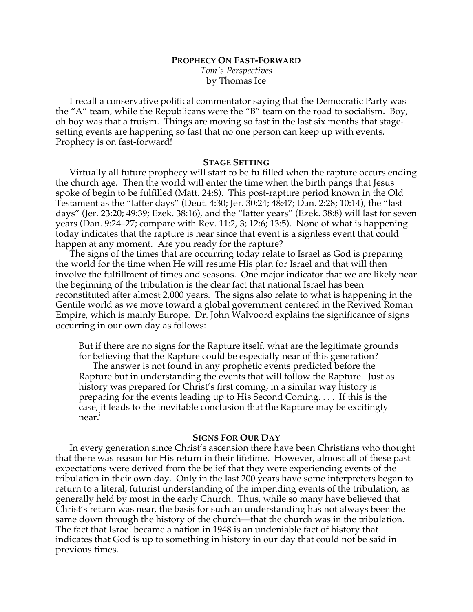# **PROPHECY ON FAST-FORWARD** *Tom's Perspectives* by Thomas Ice

I recall a conservative political commentator saying that the Democratic Party was the "A" team, while the Republicans were the "B" team on the road to socialism. Boy, oh boy was that a truism. Things are moving so fast in the last six months that stagesetting events are happening so fast that no one person can keep up with events. Prophecy is on fast-forward!

## **STAGE SETTING**

Virtually all future prophecy will start to be fulfilled when the rapture occurs ending the church age. Then the world will enter the time when the birth pangs that Jesus spoke of begin to be fulfilled (Matt. 24:8). This post-rapture period known in the Old Testament as the "latter days" (Deut. 4:30; Jer. 30:24; 48:47; Dan. 2:28; 10:14), the "last days" (Jer. 23:20; 49:39; Ezek. 38:16), and the "latter years" (Ezek. 38:8) will last for seven years (Dan. 9:24–27; compare with Rev. 11:2, 3; 12:6; 13:5). None of what is happening today indicates that the rapture is near since that event is a signless event that could happen at any moment. Are you ready for the rapture?

The signs of the times that are occurring today relate to Israel as God is preparing the world for the time when He will resume His plan for Israel and that will then involve the fulfillment of times and seasons. One major indicator that we are likely near the beginning of the tribulation is the clear fact that national Israel has been reconstituted after almost 2,000 years. The signs also relate to what is happening in the Gentile world as we move toward a global government centered in the Revived Roman Empire, which is mainly Europe. Dr. John Walvoord explains the significance of signs occurring in our own day as follows:

But if there are no signs for the Rapture itself, what are the legitimate grounds for believing that the Rapture could be especially near of this generation?

The answer is not found in any prophetic events predicted before the Rapture but in understanding the events that will follow the Rapture. Just as history was prepared for Christ's first coming, in a similar way history is preparing for the events leading up to His Second Coming. . . . If this is the case, it leads to the inevitable conclusion that the Rapture may be excitingly near.<sup>i</sup>

## **SIGNS FOR OUR DAY**

In every generation since Christ's ascension there have been Christians who thought that there was reason for His return in their lifetime. However, almost all of these past expectations were derived from the belief that they were experiencing events of the tribulation in their own day. Only in the last 200 years have some interpreters began to return to a literal, futurist understanding of the impending events of the tribulation, as generally held by most in the early Church. Thus, while so many have believed that Christ's return was near, the basis for such an understanding has not always been the same down through the history of the church—that the church was in the tribulation. The fact that Israel became a nation in 1948 is an undeniable fact of history that indicates that God is up to something in history in our day that could not be said in previous times.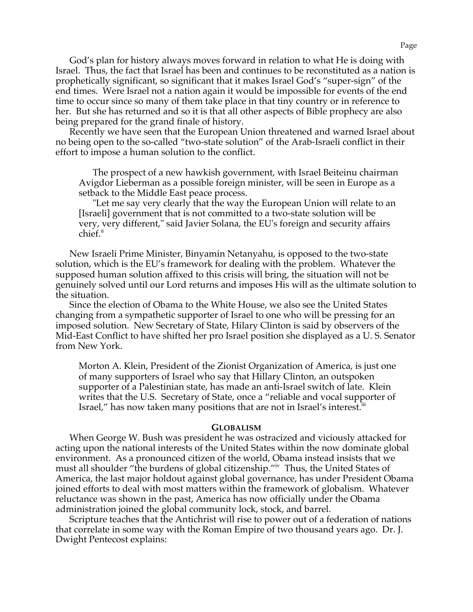God's plan for history always moves forward in relation to what He is doing with Israel. Thus, the fact that Israel has been and continues to be reconstituted as a nation is prophetically significant, so significant that it makes Israel God's "super-sign" of the end times. Were Israel not a nation again it would be impossible for events of the end time to occur since so many of them take place in that tiny country or in reference to her. But she has returned and so it is that all other aspects of Bible prophecy are also being prepared for the grand finale of history.

Recently we have seen that the European Union threatened and warned Israel about no being open to the so-called "two-state solution" of the Arab-Israeli conflict in their effort to impose a human solution to the conflict.

The prospect of a new hawkish government, with Israel Beiteinu chairman Avigdor Lieberman as a possible foreign minister, will be seen in Europe as a setback to the Middle East peace process.

"Let me say very clearly that the way the European Union will relate to an [Israeli] government that is not committed to a two-state solution will be very, very different," said Javier Solana, the EU's foreign and security affairs chief.<sup>ii</sup>

New Israeli Prime Minister, Binyamin Netanyahu, is opposed to the two-state solution, which is the EU's framework for dealing with the problem. Whatever the supposed human solution affixed to this crisis will bring, the situation will not be genuinely solved until our Lord returns and imposes His will as the ultimate solution to the situation.

Since the election of Obama to the White House, we also see the United States changing from a sympathetic supporter of Israel to one who will be pressing for an imposed solution. New Secretary of State, Hilary Clinton is said by observers of the Mid-East Conflict to have shifted her pro Israel position she displayed as a U. S. Senator from New York.

Morton A. Klein, President of the Zionist Organization of America, is just one of many supporters of Israel who say that Hillary Clinton, an outspoken supporter of a Palestinian state, has made an anti-Israel switch of late. Klein writes that the U.S. Secretary of State, once a "reliable and vocal supporter of Israel," has now taken many positions that are not in Israel's interest.<sup>iii</sup>

#### **GLOBALISM**

When George W. Bush was president he was ostracized and viciously attacked for acting upon the national interests of the United States within the now dominate global environment. As a pronounced citizen of the world, Obama instead insists that we must all shoulder "the burdens of global citizenship."iv Thus, the United States of America, the last major holdout against global governance, has under President Obama joined efforts to deal with most matters within the framework of globalism. Whatever reluctance was shown in the past, America has now officially under the Obama administration joined the global community lock, stock, and barrel.

Scripture teaches that the Antichrist will rise to power out of a federation of nations that correlate in some way with the Roman Empire of two thousand years ago. Dr. J. Dwight Pentecost explains: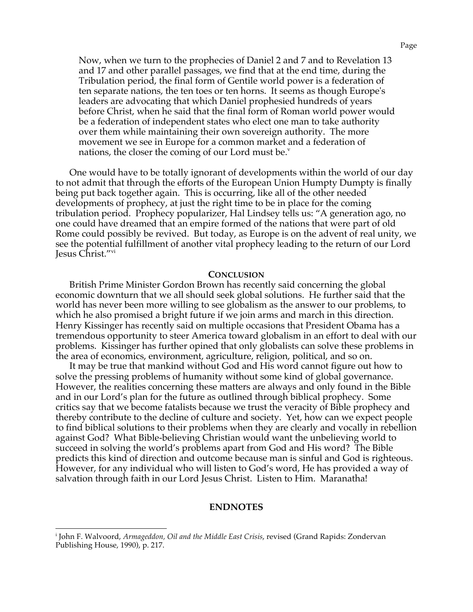Now, when we turn to the prophecies of Daniel 2 and 7 and to Revelation 13 and 17 and other parallel passages, we find that at the end time, during the Tribulation period, the final form of Gentile world power is a federation of ten separate nations, the ten toes or ten horns. It seems as though Europe's leaders are advocating that which Daniel prophesied hundreds of years before Christ, when he said that the final form of Roman world power would be a federation of independent states who elect one man to take authority over them while maintaining their own sovereign authority. The more movement we see in Europe for a common market and a federation of nations, the closer the coming of our Lord must be. $v$ 

One would have to be totally ignorant of developments within the world of our day to not admit that through the efforts of the European Union Humpty Dumpty is finally being put back together again. This is occurring, like all of the other needed developments of prophecy, at just the right time to be in place for the coming tribulation period. Prophecy popularizer, Hal Lindsey tells us: "A generation ago, no one could have dreamed that an empire formed of the nations that were part of old Rome could possibly be revived. But today, as Europe is on the advent of real unity, we see the potential fulfillment of another vital prophecy leading to the return of our Lord Jesus Christ."vi

#### **CONCLUSION**

British Prime Minister Gordon Brown has recently said concerning the global economic downturn that we all should seek global solutions. He further said that the world has never been more willing to see globalism as the answer to our problems, to which he also promised a bright future if we join arms and march in this direction. Henry Kissinger has recently said on multiple occasions that President Obama has a tremendous opportunity to steer America toward globalism in an effort to deal with our problems. Kissinger has further opined that only globalists can solve these problems in the area of economics, environment, agriculture, religion, political, and so on.

It may be true that mankind without God and His word cannot figure out how to solve the pressing problems of humanity without some kind of global governance. However, the realities concerning these matters are always and only found in the Bible and in our Lord's plan for the future as outlined through biblical prophecy. Some critics say that we become fatalists because we trust the veracity of Bible prophecy and thereby contribute to the decline of culture and society. Yet, how can we expect people to find biblical solutions to their problems when they are clearly and vocally in rebellion against God? What Bible-believing Christian would want the unbelieving world to succeed in solving the world's problems apart from God and His word? The Bible predicts this kind of direction and outcome because man is sinful and God is righteous. However, for any individual who will listen to God's word, He has provided a way of salvation through faith in our Lord Jesus Christ. Listen to Him. Maranatha!

### **ENDNOTES**

i John F. Walvoord, *Armageddon, Oil and the Middle East Crisis*, revised (Grand Rapids: Zondervan Publishing House, 1990), p. 217.